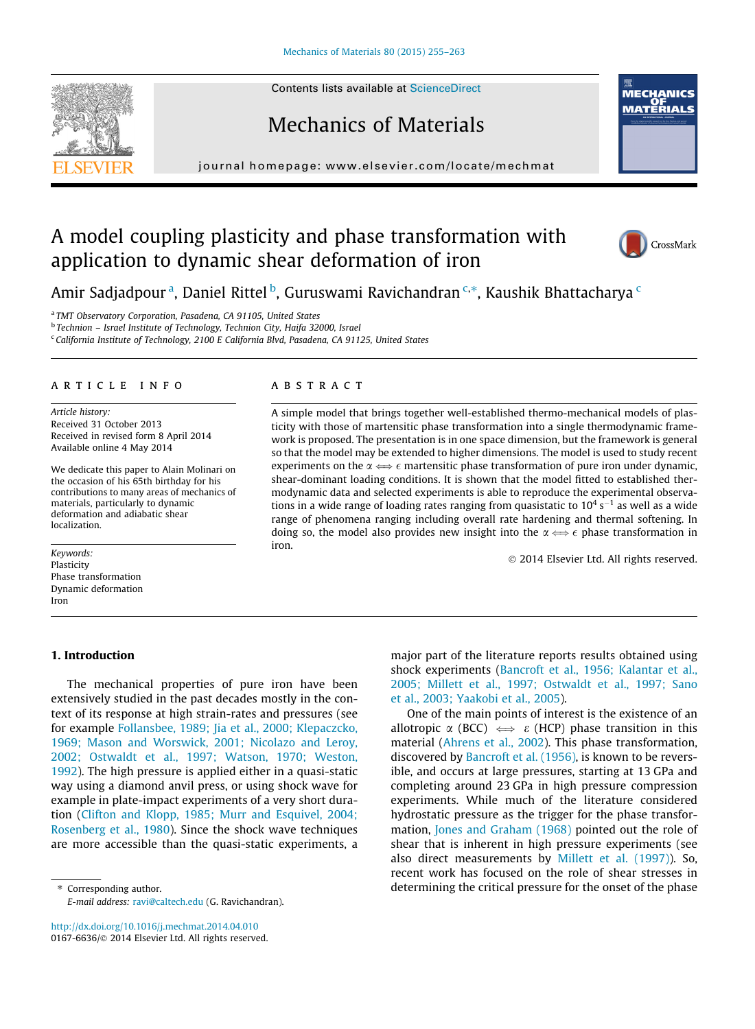Contents lists available at [ScienceDirect](http://www.sciencedirect.com/science/journal/01676636)

# Mechanics of Materials

journal homepage: [www.elsevier.com/locate/mechmat](http://www.elsevier.com/locate/mechmat)

## A model coupling plasticity and phase transformation with application to dynamic shear deformation of iron



Amir Sadjadpour<sup>a</sup>, Daniel Rittel <sup>b</sup>, Guruswami Ravichandran --\*, Kaushik Bhattacharya <sup>c</sup>

<sup>a</sup> TMT Observatory Corporation, Pasadena, CA 91105, United States

<sup>b</sup> Technion – Israel Institute of Technology, Technion City, Haifa 32000, Israel

<sup>c</sup> California Institute of Technology, 2100 E California Blvd, Pasadena, CA 91125, United States

#### article info

Article history: Received 31 October 2013 Received in revised form 8 April 2014 Available online 4 May 2014

We dedicate this paper to Alain Molinari on the occasion of his 65th birthday for his contributions to many areas of mechanics of materials, particularly to dynamic deformation and adiabatic shear localization.

Keywords: Plasticity Phase transformation Dynamic deformation Iron

#### 1. Introduction

The mechanical properties of pure iron have been extensively studied in the past decades mostly in the context of its response at high strain-rates and pressures (see for example [Follansbee, 1989; Jia et al., 2000; Klepaczcko,](#page-8-0) [1969; Mason and Worswick, 2001; Nicolazo and Leroy,](#page-8-0) [2002; Ostwaldt et al., 1997; Watson, 1970; Weston,](#page-8-0) [1992\)](#page-8-0). The high pressure is applied either in a quasi-static way using a diamond anvil press, or using shock wave for example in plate-impact experiments of a very short duration ([Clifton and Klopp, 1985; Murr and Esquivel, 2004;](#page-8-0) [Rosenberg et al., 1980](#page-8-0)). Since the shock wave techniques are more accessible than the quasi-static experiments, a

⇑ Corresponding author. E-mail address: [ravi@caltech.edu](mailto:ravi@caltech.edu) (G. Ravichandran).

<http://dx.doi.org/10.1016/j.mechmat.2014.04.010> 0167-6636/© 2014 Elsevier Ltd. All rights reserved.

### **ABSTRACT**

A simple model that brings together well-established thermo-mechanical models of plasticity with those of martensitic phase transformation into a single thermodynamic framework is proposed. The presentation is in one space dimension, but the framework is general so that the model may be extended to higher dimensions. The model is used to study recent experiments on the  $\alpha \Longleftrightarrow \epsilon$  martensitic phase transformation of pure iron under dynamic, shear-dominant loading conditions. It is shown that the model fitted to established thermodynamic data and selected experiments is able to reproduce the experimental observations in a wide range of loading rates ranging from quasistatic to  $10^4$  s<sup>-1</sup> as well as a wide range of phenomena ranging including overall rate hardening and thermal softening. In doing so, the model also provides new insight into the  $\alpha \Longleftrightarrow \epsilon$  phase transformation in iron.

- 2014 Elsevier Ltd. All rights reserved.

major part of the literature reports results obtained using shock experiments ([Bancroft et al., 1956; Kalantar et al.,](#page-8-0) [2005; Millett et al., 1997; Ostwaldt et al., 1997; Sano](#page-8-0) [et al., 2003; Yaakobi et al., 2005](#page-8-0)).

One of the main points of interest is the existence of an allotropic  $\alpha$  (BCC)  $\iff$   $\varepsilon$  (HCP) phase transition in this material ([Ahrens et al., 2002](#page-8-0)). This phase transformation, discovered by [Bancroft et al. \(1956\)](#page-8-0), is known to be reversible, and occurs at large pressures, starting at 13 GPa and completing around 23 GPa in high pressure compression experiments. While much of the literature considered hydrostatic pressure as the trigger for the phase transformation, [Jones and Graham \(1968\)](#page-8-0) pointed out the role of shear that is inherent in high pressure experiments (see also direct measurements by [Millett et al. \(1997\)\)](#page-8-0). So, recent work has focused on the role of shear stresses in determining the critical pressure for the onset of the phase





CrossMark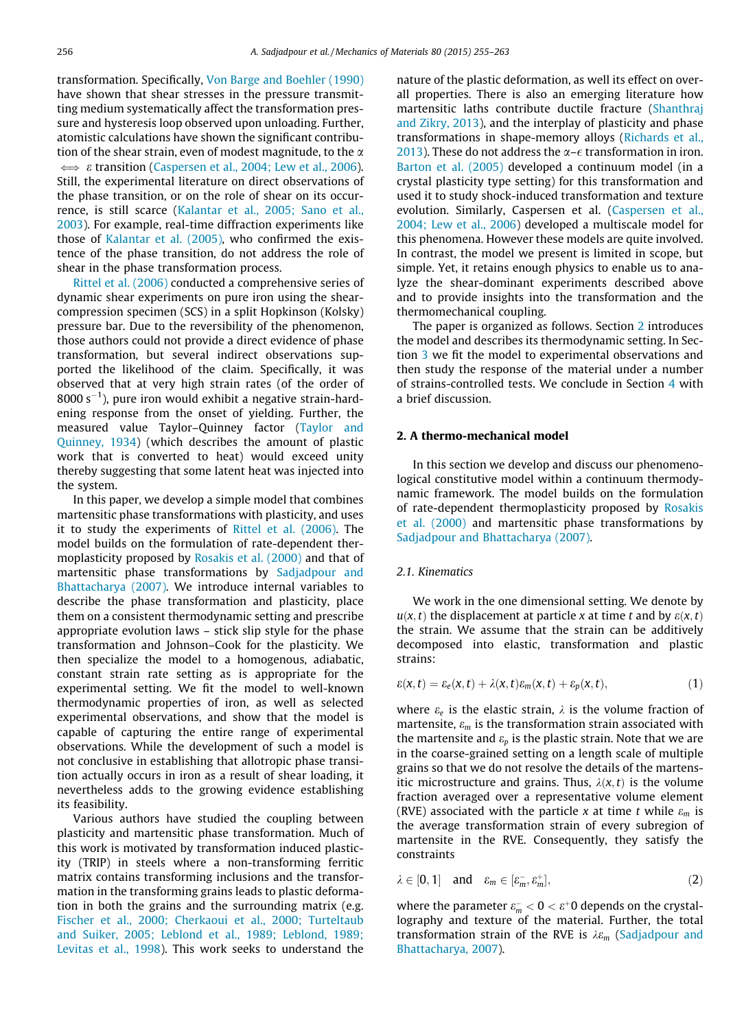transformation. Specifically, [Von Barge and Boehler \(1990\)](#page-8-0) have shown that shear stresses in the pressure transmitting medium systematically affect the transformation pressure and hysteresis loop observed upon unloading. Further, atomistic calculations have shown the significant contribution of the shear strain, even of modest magnitude, to the  $\alpha$  $\Leftrightarrow$   $\varepsilon$  transition ([Caspersen et al., 2004; Lew et al., 2006](#page-8-0)). Still, the experimental literature on direct observations of the phase transition, or on the role of shear on its occurrence, is still scarce [\(Kalantar et al., 2005; Sano et al.,](#page-8-0) [2003](#page-8-0)). For example, real-time diffraction experiments like those of [Kalantar et al. \(2005\)](#page-8-0), who confirmed the existence of the phase transition, do not address the role of shear in the phase transformation process.

[Rittel et al. \(2006\)](#page-8-0) conducted a comprehensive series of dynamic shear experiments on pure iron using the shearcompression specimen (SCS) in a split Hopkinson (Kolsky) pressure bar. Due to the reversibility of the phenomenon, those authors could not provide a direct evidence of phase transformation, but several indirect observations supported the likelihood of the claim. Specifically, it was observed that at very high strain rates (of the order of  $8000 s^{-1}$ ), pure iron would exhibit a negative strain-hardening response from the onset of yielding. Further, the measured value Taylor–Quinney factor [\(Taylor and](#page-8-0) [Quinney, 1934](#page-8-0)) (which describes the amount of plastic work that is converted to heat) would exceed unity thereby suggesting that some latent heat was injected into the system.

In this paper, we develop a simple model that combines martensitic phase transformations with plasticity, and uses it to study the experiments of [Rittel et al. \(2006\)](#page-8-0). The model builds on the formulation of rate-dependent thermoplasticity proposed by [Rosakis et al. \(2000\)](#page-8-0) and that of martensitic phase transformations by [Sadjadpour and](#page-8-0) [Bhattacharya \(2007\).](#page-8-0) We introduce internal variables to describe the phase transformation and plasticity, place them on a consistent thermodynamic setting and prescribe appropriate evolution laws – stick slip style for the phase transformation and Johnson–Cook for the plasticity. We then specialize the model to a homogenous, adiabatic, constant strain rate setting as is appropriate for the experimental setting. We fit the model to well-known thermodynamic properties of iron, as well as selected experimental observations, and show that the model is capable of capturing the entire range of experimental observations. While the development of such a model is not conclusive in establishing that allotropic phase transition actually occurs in iron as a result of shear loading, it nevertheless adds to the growing evidence establishing its feasibility.

Various authors have studied the coupling between plasticity and martensitic phase transformation. Much of this work is motivated by transformation induced plasticity (TRIP) in steels where a non-transforming ferritic matrix contains transforming inclusions and the transformation in the transforming grains leads to plastic deformation in both the grains and the surrounding matrix (e.g. [Fischer et al., 2000; Cherkaoui et al., 2000; Turteltaub](#page-8-0) [and Suiker, 2005; Leblond et al., 1989; Leblond, 1989;](#page-8-0) [Levitas et al., 1998\)](#page-8-0). This work seeks to understand the

nature of the plastic deformation, as well its effect on overall properties. There is also an emerging literature how martensitic laths contribute ductile fracture [\(Shanthraj](#page-8-0) [and Zikry, 2013\)](#page-8-0), and the interplay of plasticity and phase transformations in shape-memory alloys [\(Richards et al.,](#page-8-0) [2013](#page-8-0)). These do not address the  $\alpha$ - $\epsilon$  transformation in iron. [Barton et al. \(2005\)](#page-8-0) developed a continuum model (in a crystal plasticity type setting) for this transformation and used it to study shock-induced transformation and texture evolution. Similarly, Caspersen et al. ([Caspersen et al.,](#page-8-0) [2004; Lew et al., 2006](#page-8-0)) developed a multiscale model for this phenomena. However these models are quite involved. In contrast, the model we present is limited in scope, but simple. Yet, it retains enough physics to enable us to analyze the shear-dominant experiments described above and to provide insights into the transformation and the thermomechanical coupling.

The paper is organized as follows. Section 2 introduces the model and describes its thermodynamic setting. In Section [3](#page-4-0) we fit the model to experimental observations and then study the response of the material under a number of strains-controlled tests. We conclude in Section [4](#page-7-0) with a brief discussion.

#### 2. A thermo-mechanical model

In this section we develop and discuss our phenomenological constitutive model within a continuum thermodynamic framework. The model builds on the formulation of rate-dependent thermoplasticity proposed by [Rosakis](#page-8-0) [et al. \(2000\)](#page-8-0) and martensitic phase transformations by [Sadjadpour and Bhattacharya \(2007\)](#page-8-0).

#### 2.1. Kinematics

We work in the one dimensional setting. We denote by  $u(x, t)$  the displacement at particle x at time t and by  $\varepsilon(x, t)$ the strain. We assume that the strain can be additively decomposed into elastic, transformation and plastic strains:

$$
\varepsilon(x,t) = \varepsilon_e(x,t) + \lambda(x,t)\varepsilon_m(x,t) + \varepsilon_p(x,t),
$$
\n(1)

where  $\varepsilon_e$  is the elastic strain,  $\lambda$  is the volume fraction of martensite,  $\varepsilon_m$  is the transformation strain associated with the martensite and  $\varepsilon_p$  is the plastic strain. Note that we are in the coarse-grained setting on a length scale of multiple grains so that we do not resolve the details of the martensitic microstructure and grains. Thus,  $\lambda(x, t)$  is the volume fraction averaged over a representative volume element (RVE) associated with the particle x at time t while  $\varepsilon_m$  is the average transformation strain of every subregion of martensite in the RVE. Consequently, they satisfy the constraints

$$
\lambda \in [0,1] \quad \text{and} \quad \varepsilon_m \in [\varepsilon_m^-, \varepsilon_m^+], \tag{2}
$$

where the parameter  $\varepsilon_m^- < 0 < \varepsilon^+ 0$  depends on the crystallography and texture of the material. Further, the total transformation strain of the RVE is  $\lambda \varepsilon_m$  [\(Sadjadpour and](#page-8-0) [Bhattacharya, 2007](#page-8-0)).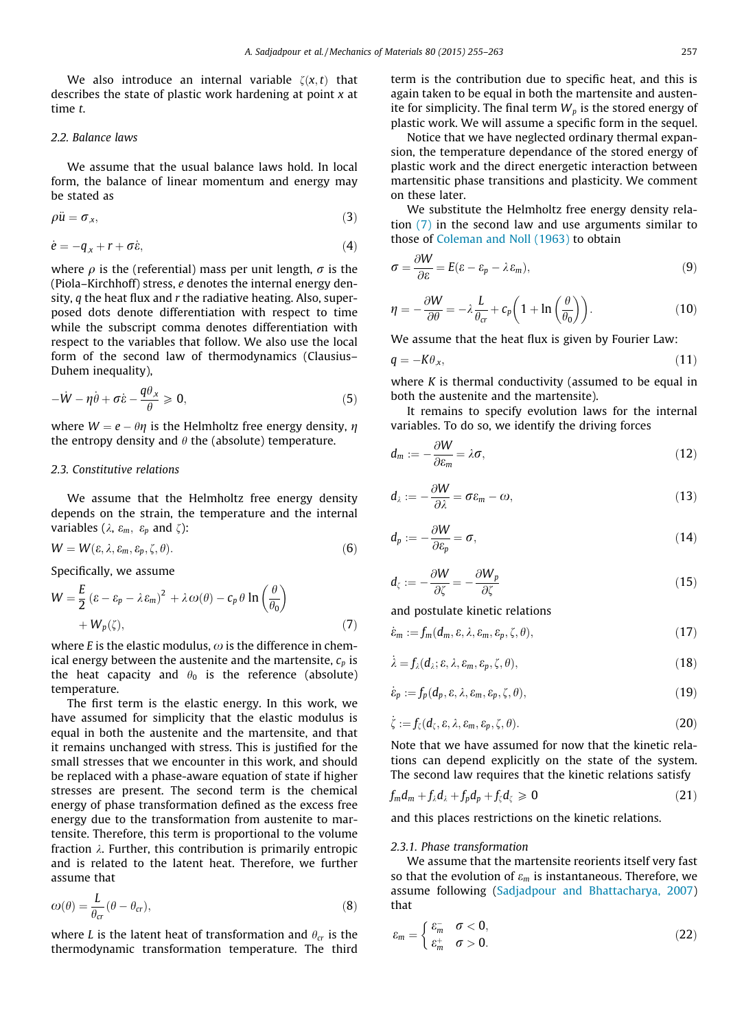<span id="page-2-0"></span>We also introduce an internal variable  $\zeta(x,t)$  that describes the state of plastic work hardening at point  $x$  at time t.

#### 2.2. Balance laws

We assume that the usual balance laws hold. In local form, the balance of linear momentum and energy may be stated as

$$
\rho \ddot{u} = \sigma_{,x},\tag{3}
$$

$$
\dot{e} = -q_{x} + r + \sigma \dot{\varepsilon}, \tag{4}
$$

where  $\rho$  is the (referential) mass per unit length,  $\sigma$  is the (Piola–Kirchhoff) stress, e denotes the internal energy density,  $q$  the heat flux and  $r$  the radiative heating. Also, superposed dots denote differentiation with respect to time while the subscript comma denotes differentiation with respect to the variables that follow. We also use the local form of the second law of thermodynamics (Clausius– Duhem inequality),

$$
-\dot{W} - \eta \dot{\theta} + \sigma \dot{\epsilon} - \frac{q \theta_x}{\theta} \ge 0, \tag{5}
$$

where  $W = e - \theta \eta$  is the Helmholtz free energy density,  $\eta$ the entropy density and  $\theta$  the (absolute) temperature.

#### 2.3. Constitutive relations

We assume that the Helmholtz free energy density depends on the strain, the temperature and the internal variables ( $\lambda$ ,  $\varepsilon_m$ ,  $\varepsilon_p$  and  $\zeta$ ):

$$
W = W(\varepsilon, \lambda, \varepsilon_m, \varepsilon_p, \zeta, \theta). \tag{6}
$$

Specifically, we assume

$$
W = \frac{E}{2} (\varepsilon - \varepsilon_p - \lambda \varepsilon_m)^2 + \lambda \omega(\theta) - c_p \theta \ln \left( \frac{\theta}{\theta_0} \right) + W_p(\zeta), \tag{7}
$$

where E is the elastic modulus,  $\omega$  is the difference in chemical energy between the austenite and the martensite,  $c_n$  is the heat capacity and  $\theta_0$  is the reference (absolute) temperature.

The first term is the elastic energy. In this work, we have assumed for simplicity that the elastic modulus is equal in both the austenite and the martensite, and that it remains unchanged with stress. This is justified for the small stresses that we encounter in this work, and should be replaced with a phase-aware equation of state if higher stresses are present. The second term is the chemical energy of phase transformation defined as the excess free energy due to the transformation from austenite to martensite. Therefore, this term is proportional to the volume fraction  $\lambda$ . Further, this contribution is primarily entropic and is related to the latent heat. Therefore, we further assume that

$$
\omega(\theta) = \frac{L}{\theta_{cr}} (\theta - \theta_{cr}),\tag{8}
$$

where L is the latent heat of transformation and  $\theta_{cr}$  is the thermodynamic transformation temperature. The third

term is the contribution due to specific heat, and this is again taken to be equal in both the martensite and austenite for simplicity. The final term  $W_p$  is the stored energy of plastic work. We will assume a specific form in the sequel.

Notice that we have neglected ordinary thermal expansion, the temperature dependance of the stored energy of plastic work and the direct energetic interaction between martensitic phase transitions and plasticity. We comment on these later.

We substitute the Helmholtz free energy density relation (7) in the second law and use arguments similar to those of [Coleman and Noll \(1963\)](#page-8-0) to obtain

$$
\sigma = \frac{\partial W}{\partial \varepsilon} = E(\varepsilon - \varepsilon_p - \lambda \varepsilon_m),\tag{9}
$$

$$
\eta = -\frac{\partial W}{\partial \theta} = -\lambda \frac{L}{\theta_{cr}} + c_p \left( 1 + \ln \left( \frac{\theta}{\theta_0} \right) \right).
$$
 (10)

We assume that the heat flux is given by Fourier Law:

$$
q = -K\theta_{,x},\tag{11}
$$

where  $K$  is thermal conductivity (assumed to be equal in both the austenite and the martensite).

It remains to specify evolution laws for the internal variables. To do so, we identify the driving forces

$$
d_m := -\frac{\partial W}{\partial \varepsilon_m} = \lambda \sigma,\tag{12}
$$

$$
d_{\lambda} := -\frac{\partial W}{\partial \lambda} = \sigma \varepsilon_m - \omega, \tag{13}
$$

$$
d_p := -\frac{\partial W}{\partial \varepsilon_p} = \sigma,\tag{14}
$$

$$
d_{\zeta} := -\frac{\partial W}{\partial \zeta} = -\frac{\partial W_p}{\partial \zeta} \tag{15}
$$

and postulate kinetic relations

$$
\dot{\varepsilon}_m := f_m(d_m, \varepsilon, \lambda, \varepsilon_m, \varepsilon_p, \zeta, \theta), \tag{17}
$$

$$
\dot{\lambda} = f_{\lambda}(d_{\lambda}; \varepsilon, \lambda, \varepsilon_m, \varepsilon_p, \zeta, \theta), \tag{18}
$$

$$
\dot{\varepsilon}_p := f_p(d_p, \varepsilon, \lambda, \varepsilon_m, \varepsilon_p, \zeta, \theta), \tag{19}
$$

$$
\dot{\zeta} := f_{\zeta}(d_{\zeta}, \varepsilon, \lambda, \varepsilon_m, \varepsilon_p, \zeta, \theta).
$$
 (20)

Note that we have assumed for now that the kinetic relations can depend explicitly on the state of the system. The second law requires that the kinetic relations satisfy

$$
f_m d_m + f_\lambda d_\lambda + f_p d_p + f_\zeta d_\zeta \geq 0 \tag{21}
$$

and this places restrictions on the kinetic relations.

#### 2.3.1. Phase transformation

We assume that the martensite reorients itself very fast so that the evolution of  $\varepsilon_m$  is instantaneous. Therefore, we assume following ([Sadjadpour and Bhattacharya, 2007](#page-8-0)) that

$$
\varepsilon_m = \begin{cases} \varepsilon_m^- & \sigma < 0, \\ \varepsilon_m^+ & \sigma > 0. \end{cases} \tag{22}
$$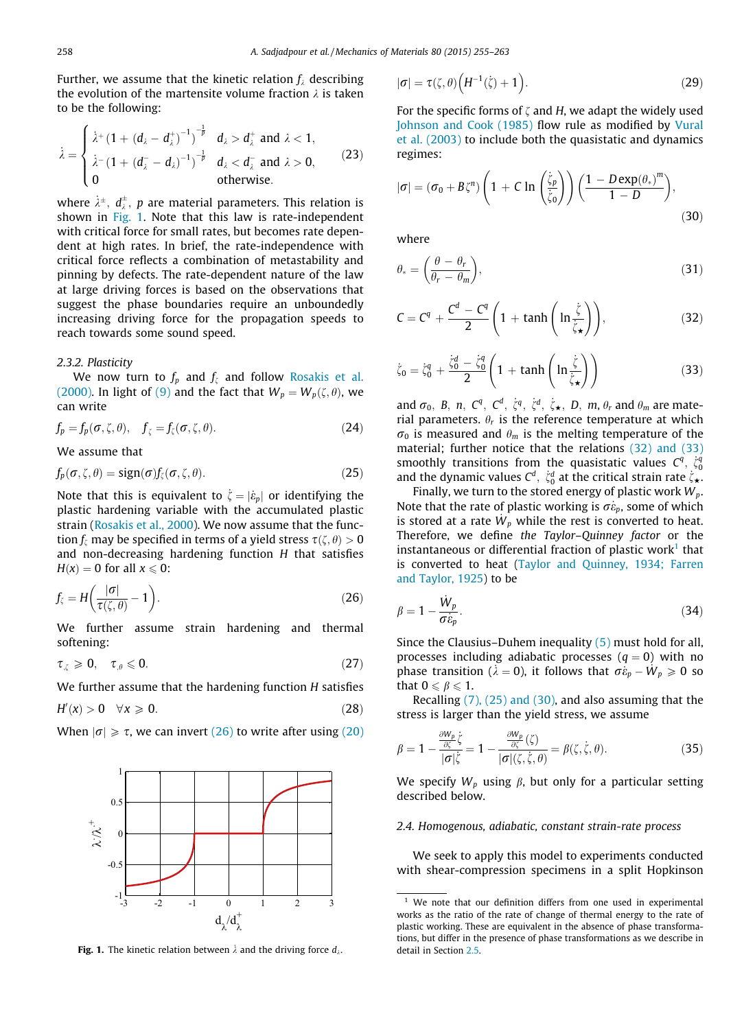<span id="page-3-0"></span>Further, we assume that the kinetic relation  $f_i$  describing the evolution of the martensite volume fraction  $\lambda$  is taken to be the following:

$$
\dot{\lambda} = \begin{cases} \dot{\lambda}^{+} (1 + (d_{\lambda} - d_{\lambda}^{+})^{-1})^{-\frac{1}{p}} & d_{\lambda} > d_{\lambda}^{+} \text{ and } \lambda < 1, \\ \dot{\lambda}^{-} (1 + (d_{\lambda}^{-} - d_{\lambda})^{-1})^{-\frac{1}{p}} & d_{\lambda} < d_{\lambda}^{-} \text{ and } \lambda > 0, \\ 0 & \text{otherwise.} \end{cases}
$$
(23)

where  $\dot{\lambda}^{\pm},\;d_{\lambda}^{\pm},\;p$  are material parameters. This relation is shown in Fig. 1. Note that this law is rate-independent with critical force for small rates, but becomes rate dependent at high rates. In brief, the rate-independence with critical force reflects a combination of metastability and pinning by defects. The rate-dependent nature of the law at large driving forces is based on the observations that suggest the phase boundaries require an unboundedly increasing driving force for the propagation speeds to reach towards some sound speed.

#### 2.3.2. Plasticity

We now turn to  $f_p$  and  $f_\zeta$  and follow [Rosakis et al.](#page-8-0) [\(2000\).](#page-8-0) In light of [\(9\)](#page-2-0) and the fact that  $W_p = W_p(\zeta, \theta)$ , we can write

$$
f_p = f_p(\sigma, \zeta, \theta), \quad f_{\zeta} = f_{\zeta}(\sigma, \zeta, \theta). \tag{24}
$$

We assume that

$$
f_p(\sigma, \zeta, \theta) = sign(\sigma) f_{\zeta}(\sigma, \zeta, \theta).
$$
 (25)

Note that this is equivalent to  $\dot{\zeta} = |\varepsilon_p|$  or identifying the plastic hardening variable with the accumulated plastic strain [\(Rosakis et al., 2000](#page-8-0)). We now assume that the function  $f_{\xi}$  may be specified in terms of a yield stress  $\tau(\zeta, \theta) > 0$ and non-decreasing hardening function  $H$  that satisfies  $H(x) = 0$  for all  $x \le 0$ :

$$
f_{\zeta} = H\bigg(\frac{|\sigma|}{\tau(\zeta,\theta)} - 1\bigg). \tag{26}
$$

We further assume strain hardening and thermal softening:

$$
\tau_{\zeta} \geqslant 0, \quad \tau_{\theta} \leqslant 0. \tag{27}
$$

We further assume that the hardening function H satisfies

$$
H'(x) > 0 \quad \forall x \geq 0. \tag{28}
$$

When  $|\sigma| \ge \tau$ , we can invert (26) to write after using [\(20\)](#page-2-0)



Fig. 1. The kinetic relation between  $\lambda$  and the driving force  $d_{\lambda}$ .

$$
|\sigma| = \tau(\zeta, \theta) \Big( H^{-1}(\zeta) + 1 \Big). \tag{29}
$$

For the specific forms of  $\zeta$  and H, we adapt the widely used [Johnson and Cook \(1985\)](#page-8-0) flow rule as modified by [Vural](#page-8-0) [et al. \(2003\)](#page-8-0) to include both the quasistatic and dynamics regimes:

$$
|\sigma| = (\sigma_0 + B\zeta^n) \left(1 + C \ln\left(\frac{\dot{\zeta}_p}{\dot{\zeta}_0}\right)\right) \left(\frac{1 - D \exp(\theta_*)^m}{1 - D}\right),\tag{30}
$$

where

$$
\theta_* = \left(\frac{\theta - \theta_r}{\theta_r - \theta_m}\right),\tag{31}
$$

$$
C = Cq + \frac{Cd - Cq}{2} \left( 1 + \tanh\left(\ln\frac{\dot{\zeta}}{\zeta_{\star}}\right) \right),\tag{32}
$$

$$
\dot{\zeta}_0 = \dot{\zeta}_0^q + \frac{\dot{\zeta}_0^d - \dot{\zeta}_0^q}{2} \left( 1 + \tanh\left(\ln\frac{\dot{\zeta}}{\dot{\zeta}_{\star}}\right) \right) \tag{33}
$$

and  $\sigma_0$ , B, n, C<sup>q</sup>, C<sup>d</sup>,  $\zeta^q$ ,  $\zeta^d$ ,  $\zeta^d$ ,  $\zeta^d$ , D, m,  $\theta_r$  and  $\theta_m$  are material parameters.  $\theta_r$  is the reference temperature at which  $\sigma_0$  is measured and  $\theta_m$  is the melting temperature of the material; further notice that the relations (32) and (33) smoothly transitions from the quasistatic values  $C^q$ ,  $\zeta_0^q$ and the dynamic values  $C^d$ ,  $\zeta_0^d$  at the critical strain rate  $\zeta_\star$ .

Finally, we turn to the stored energy of plastic work  $W_p$ . Note that the rate of plastic working is  $\sigma \dot{\epsilon}_p$ , some of which is stored at a rate  $W_p$  while the rest is converted to heat. Therefore, we define the Taylor–Quinney factor or the instantaneous or differential fraction of plastic work<sup>1</sup> that is converted to heat [\(Taylor and Quinney, 1934; Farren](#page-8-0) [and Taylor, 1925\)](#page-8-0) to be

$$
\beta = 1 - \frac{\dot{W}_p}{\sigma \dot{\varepsilon}_p}.\tag{34}
$$

Since the Clausius–Duhem inequality [\(5\)](#page-2-0) must hold for all, processes including adiabatic processes  $(q = 0)$  with no phase transition ( $\lambda = 0$ ), it follows that  $\sigma \varepsilon_p - \dot{W}_p \geq 0$  so that  $0 \leq \beta \leq 1$ .

Recalling [\(7\), \(25\) and \(30\)](#page-2-0), and also assuming that the stress is larger than the yield stress, we assume

$$
\beta = 1 - \frac{\frac{\partial W_p}{\partial \zeta} \dot{\zeta}}{|\sigma|\dot{\zeta}} = 1 - \frac{\frac{\partial W_p}{\partial \zeta}(\zeta)}{|\sigma|(\zeta, \dot{\zeta}, \theta)} = \beta(\zeta, \dot{\zeta}, \theta). \tag{35}
$$

We specify  $W_p$  using  $\beta$ , but only for a particular setting described below.

#### 2.4. Homogenous, adiabatic, constant strain-rate process

We seek to apply this model to experiments conducted with shear-compression specimens in a split Hopkinson

We note that our definition differs from one used in experimental works as the ratio of the rate of change of thermal energy to the rate of plastic working. These are equivalent in the absence of phase transformations, but differ in the presence of phase transformations as we describe in detail in Section [2.5](#page-4-0).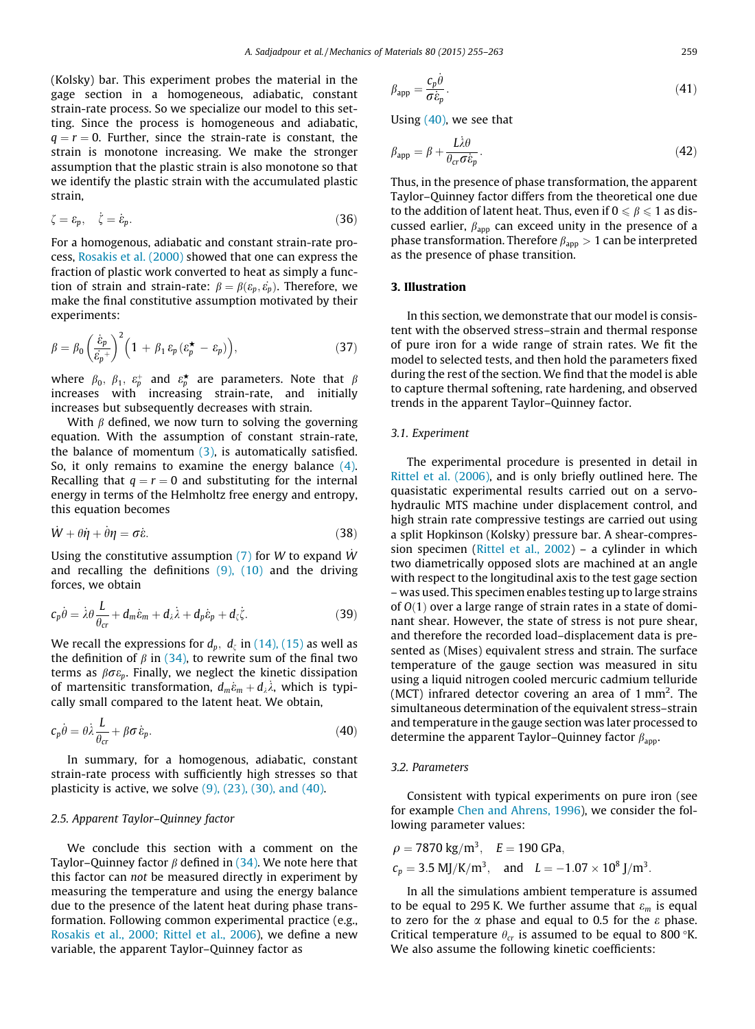<span id="page-4-0"></span>(Kolsky) bar. This experiment probes the material in the gage section in a homogeneous, adiabatic, constant strain-rate process. So we specialize our model to this setting. Since the process is homogeneous and adiabatic,  $q = r = 0$ . Further, since the strain-rate is constant, the strain is monotone increasing. We make the stronger assumption that the plastic strain is also monotone so that we identify the plastic strain with the accumulated plastic strain,

$$
\zeta = \varepsilon_p, \quad \dot{\zeta} = \dot{\varepsilon}_p. \tag{36}
$$

For a homogenous, adiabatic and constant strain-rate process, [Rosakis et al. \(2000\)](#page-8-0) showed that one can express the fraction of plastic work converted to heat as simply a function of strain and strain-rate:  $\beta = \beta(\varepsilon_p, \varepsilon_p)$ . Therefore, we make the final constitutive assumption motivated by their experiments:

$$
\beta = \beta_0 \left(\frac{\dot{\varepsilon}_p}{\dot{\varepsilon}_p^+}\right)^2 \left(1 + \beta_1 \varepsilon_p (\varepsilon_p^{\star} - \varepsilon_p)\right),\tag{37}
$$

where  $\beta_0$ ,  $\beta_1$ ,  $\varepsilon_p^+$  and  $\varepsilon_p^\star$  are parameters. Note that  $\beta$ increases with increasing strain-rate, and initially increases but subsequently decreases with strain.

With  $\beta$  defined, we now turn to solving the governing equation. With the assumption of constant strain-rate, the balance of momentum  $(3)$ , is automatically satisfied. So, it only remains to examine the energy balance [\(4\)](#page-2-0). Recalling that  $q = r = 0$  and substituting for the internal energy in terms of the Helmholtz free energy and entropy, this equation becomes

$$
\dot{W} + \theta \dot{\eta} + \dot{\theta} \eta = \sigma \dot{\varepsilon}.
$$
 (38)

Using the constitutive assumption  $(7)$  for W to expand W and recalling the definitions  $(9)$ ,  $(10)$  and the driving forces, we obtain

$$
c_p \dot{\theta} = \dot{\lambda} \theta \frac{L}{\theta_{cr}} + d_m \dot{\epsilon}_m + d_\lambda \dot{\lambda} + d_p \dot{\epsilon}_p + d_\zeta \dot{\zeta}.
$$
 (39)

We recall the expressions for  $d_p$ ,  $d_\zeta$  in [\(14\), \(15\)](#page-2-0) as well as the definition of  $\beta$  in [\(34\)](#page-3-0), to rewrite sum of the final two terms as  $\beta \sigma \varepsilon_p$ . Finally, we neglect the kinetic dissipation of martensitic transformation,  $d_m \varepsilon_m + d_\lambda \lambda$ , which is typically small compared to the latent heat. We obtain,

$$
c_p \dot{\theta} = \theta \dot{\lambda} \frac{L}{\theta_{cr}} + \beta \sigma \dot{\epsilon}_p. \tag{40}
$$

In summary, for a homogenous, adiabatic, constant strain-rate process with sufficiently high stresses so that plasticity is active, we solve  $(9)$ ,  $(23)$ ,  $(30)$ , and  $(40)$ .

#### 2.5. Apparent Taylor–Quinney factor

We conclude this section with a comment on the Taylor–Quinney factor  $\beta$  defined in [\(34\).](#page-3-0) We note here that this factor can not be measured directly in experiment by measuring the temperature and using the energy balance due to the presence of the latent heat during phase transformation. Following common experimental practice (e.g., [Rosakis et al., 2000; Rittel et al., 2006\)](#page-8-0), we define a new variable, the apparent Taylor–Quinney factor as

$$
\beta_{\rm app} = \frac{c_p \dot{\theta}}{\sigma \dot{\epsilon}_p}.\tag{41}
$$

Using (40), we see that

$$
\beta_{\rm app} = \beta + \frac{L\dot{\lambda}\theta}{\theta_{cr}\sigma\dot{\epsilon}_p}.\tag{42}
$$

Thus, in the presence of phase transformation, the apparent Taylor–Quinney factor differs from the theoretical one due to the addition of latent heat. Thus, even if  $0 \le \beta \le 1$  as discussed earlier,  $\beta_{\rm app}$  can exceed unity in the presence of a phase transformation. Therefore  $\beta_{\rm app} > 1$  can be interpreted as the presence of phase transition.

#### 3. Illustration

In this section, we demonstrate that our model is consistent with the observed stress–strain and thermal response of pure iron for a wide range of strain rates. We fit the model to selected tests, and then hold the parameters fixed during the rest of the section. We find that the model is able to capture thermal softening, rate hardening, and observed trends in the apparent Taylor–Quinney factor.

#### 3.1. Experiment

The experimental procedure is presented in detail in [Rittel et al. \(2006\)](#page-8-0), and is only briefly outlined here. The quasistatic experimental results carried out on a servohydraulic MTS machine under displacement control, and high strain rate compressive testings are carried out using a split Hopkinson (Kolsky) pressure bar. A shear-compression specimen ([Rittel et al., 2002\)](#page-8-0) – a cylinder in which two diametrically opposed slots are machined at an angle with respect to the longitudinal axis to the test gage section – was used. This specimen enables testing up to large strains of  $O(1)$  over a large range of strain rates in a state of dominant shear. However, the state of stress is not pure shear, and therefore the recorded load–displacement data is presented as (Mises) equivalent stress and strain. The surface temperature of the gauge section was measured in situ using a liquid nitrogen cooled mercuric cadmium telluride (MCT) infrared detector covering an area of  $1 \text{ mm}^2$ . The simultaneous determination of the equivalent stress–strain and temperature in the gauge section was later processed to determine the apparent Taylor–Quinney factor  $\beta_{\text{app}}$ .

#### 3.2. Parameters

Consistent with typical experiments on pure iron (see for example [Chen and Ahrens, 1996\)](#page-8-0), we consider the following parameter values:

$$
\rho = 7870 \text{ kg/m}^3
$$
,  $E = 190 \text{ GPa}$ ,  
\n $c_p = 3.5 \text{ MJ/K/m}^3$ , and  $L = -1.07 \times 10^8 \text{ J/m}^3$ .

In all the simulations ambient temperature is assumed to be equal to 295 K. We further assume that  $\varepsilon_m$  is equal to zero for the  $\alpha$  phase and equal to 0.5 for the  $\varepsilon$  phase. Critical temperature  $\theta_{cr}$  is assumed to be equal to 800 °K. We also assume the following kinetic coefficients: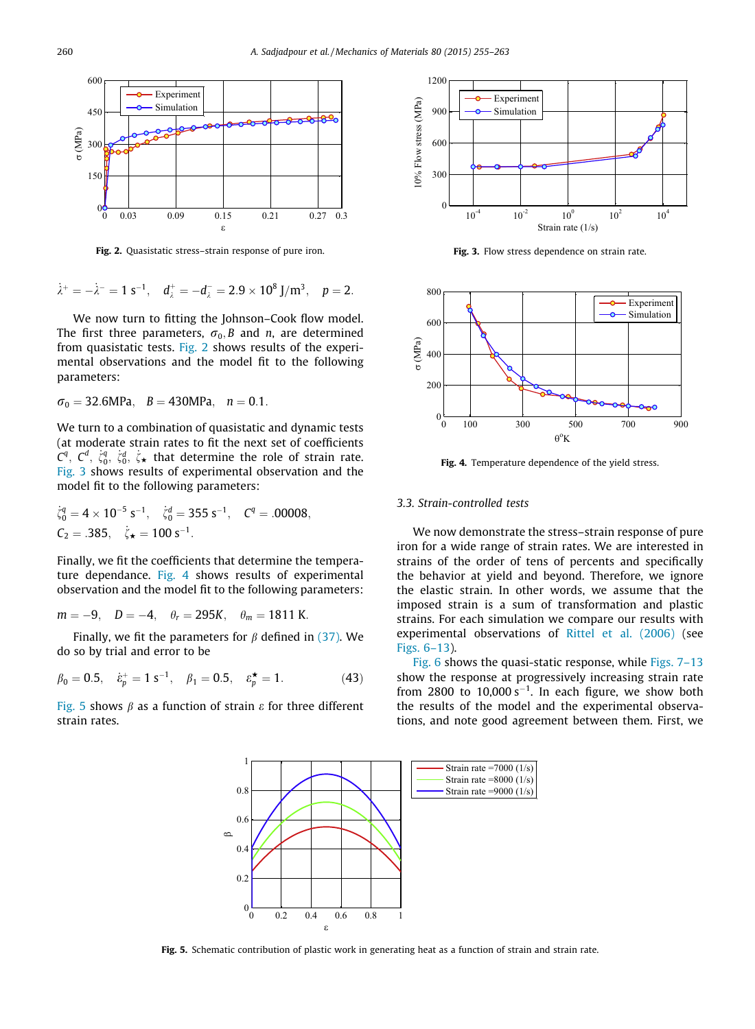

Fig. 2. Quasistatic stress–strain response of pure iron.

 $\dot{\lambda}^+ = -\dot{\lambda}^- = 1 \text{ s}^{-1}, \quad d_{\lambda}^+ = -d_{\lambda}^- = 2.9 \times 10^8 \text{ J/m}^3, \quad p = 2.5$ 

We now turn to fitting the Johnson–Cook flow model. The first three parameters,  $\sigma_0$ , B and n, are determined from quasistatic tests. Fig. 2 shows results of the experimental observations and the model fit to the following parameters:

 $\sigma_0 = 32.6 \text{MPa}, \quad B = 430 \text{MPa}, \quad n = 0.1.$ 

We turn to a combination of quasistatic and dynamic tests (at moderate strain rates to fit the next set of coefficients  $C^q$ ,  $C^d$ ,  $\zeta_0^q$ ,  $\zeta_0^d$ ,  $\zeta_{\star}$  that determine the role of strain rate. Fig. 3 shows results of experimental observation and the model fit to the following parameters:

$$
\dot{\zeta}_0^q = 4 \times 10^{-5} \text{ s}^{-1}, \quad \dot{\zeta}_0^d = 355 \text{ s}^{-1}, \quad C^q = .00008,
$$
  
\n $C_2 = .385, \quad \dot{\zeta}_* = 100 \text{ s}^{-1}.$ 

Finally, we fit the coefficients that determine the temperature dependance. Fig. 4 shows results of experimental observation and the model fit to the following parameters:

$$
m = -9
$$
,  $D = -4$ ,  $\theta_r = 295K$ ,  $\theta_m = 1811$  K.

Finally, we fit the parameters for  $\beta$  defined in [\(37\).](#page-4-0) We do so by trial and error to be

$$
\beta_0 = 0.5, \quad \dot{\varepsilon}_p^+ = 1 \, \text{s}^{-1}, \quad \beta_1 = 0.5, \quad \varepsilon_p^{\star} = 1. \tag{43}
$$

Fig. 5 shows  $\beta$  as a function of strain  $\varepsilon$  for three different strain rates.



Fig. 3. Flow stress dependence on strain rate.



Fig. 4. Temperature dependence of the yield stress.

#### 3.3. Strain-controlled tests

We now demonstrate the stress–strain response of pure iron for a wide range of strain rates. We are interested in strains of the order of tens of percents and specifically the behavior at yield and beyond. Therefore, we ignore the elastic strain. In other words, we assume that the imposed strain is a sum of transformation and plastic strains. For each simulation we compare our results with experimental observations of [Rittel et al. \(2006\)](#page-8-0) (see [Figs. 6–13\)](#page-6-0).

[Fig. 6](#page-6-0) shows the quasi-static response, while [Figs. 7–13](#page-6-0) show the response at progressively increasing strain rate from 2800 to  $10,000 s^{-1}$ . In each figure, we show both the results of the model and the experimental observations, and note good agreement between them. First, we



Fig. 5. Schematic contribution of plastic work in generating heat as a function of strain and strain rate.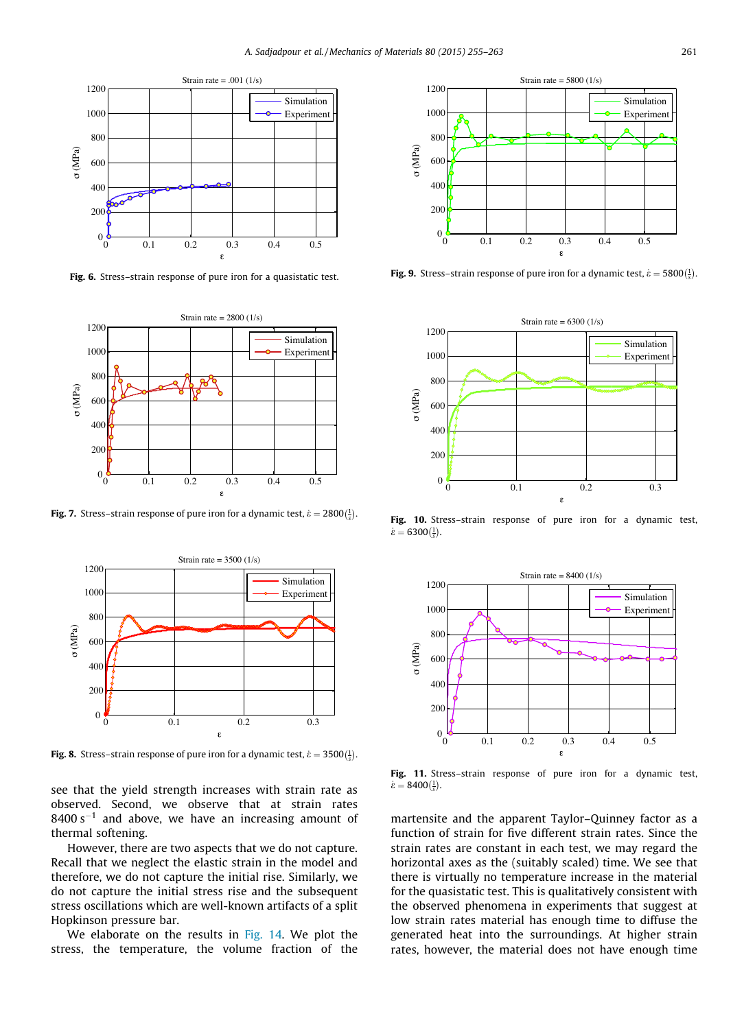<span id="page-6-0"></span>

Fig. 6. Stress-strain response of pure iron for a quasistatic test.



**Fig. 7.** Stress–strain response of pure iron for a dynamic test,  $\dot{\epsilon} = 2800 \frac{1}{s}$ .



Fig. 8. Stress-strain response of pure iron for a dynamic test,  $\dot{\varepsilon} = 3500 \frac{1}{\mathcal{S}}$ .

see that the yield strength increases with strain rate as observed. Second, we observe that at strain rates  $8400 s^{-1}$  and above, we have an increasing amount of thermal softening.

However, there are two aspects that we do not capture. Recall that we neglect the elastic strain in the model and therefore, we do not capture the initial rise. Similarly, we do not capture the initial stress rise and the subsequent stress oscillations which are well-known artifacts of a split Hopkinson pressure bar.

We elaborate on the results in [Fig. 14](#page-7-0). We plot the stress, the temperature, the volume fraction of the



Fig. 9. Stress-strain response of pure iron for a dynamic test,  $\dot{\varepsilon} = 5800 \frac{1}{s}$ .



Fig. 10. Stress-strain response of pure iron for a dynamic test,  $\dot{\varepsilon} = 6300 \left( \frac{1}{s} \right)$ .



Fig. 11. Stress-strain response of pure iron for a dynamic test,  $\dot{\varepsilon} = 8400 \left( \frac{1}{s} \right)$ .

martensite and the apparent Taylor–Quinney factor as a function of strain for five different strain rates. Since the strain rates are constant in each test, we may regard the horizontal axes as the (suitably scaled) time. We see that there is virtually no temperature increase in the material for the quasistatic test. This is qualitatively consistent with the observed phenomena in experiments that suggest at low strain rates material has enough time to diffuse the generated heat into the surroundings. At higher strain rates, however, the material does not have enough time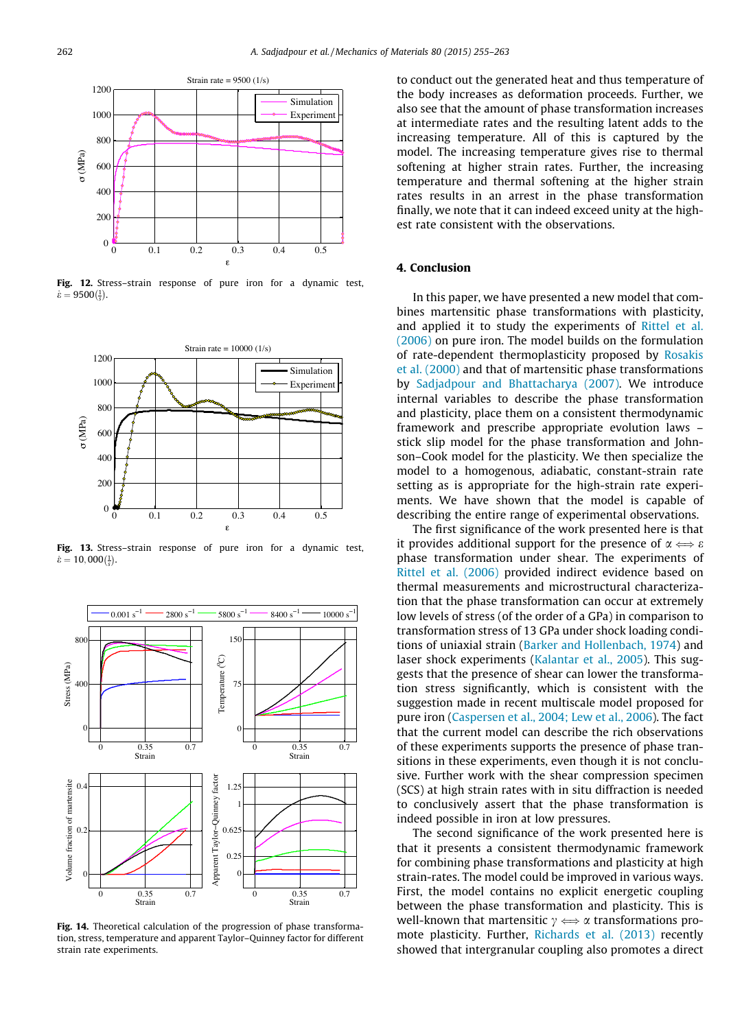<span id="page-7-0"></span>

Fig. 12. Stress–strain response of pure iron for a dynamic test,  $\dot{\varepsilon} = 9500 \left( \frac{1}{s} \right)$ .



Fig. 13. Stress-strain response of pure iron for a dynamic test,  $\dot{\varepsilon} = 10,000(\frac{1}{s}).$ 



Fig. 14. Theoretical calculation of the progression of phase transformation, stress, temperature and apparent Taylor–Quinney factor for different strain rate experiments.

to conduct out the generated heat and thus temperature of the body increases as deformation proceeds. Further, we also see that the amount of phase transformation increases at intermediate rates and the resulting latent adds to the increasing temperature. All of this is captured by the model. The increasing temperature gives rise to thermal softening at higher strain rates. Further, the increasing temperature and thermal softening at the higher strain rates results in an arrest in the phase transformation finally, we note that it can indeed exceed unity at the highest rate consistent with the observations.

#### 4. Conclusion

In this paper, we have presented a new model that combines martensitic phase transformations with plasticity, and applied it to study the experiments of [Rittel et al.](#page-8-0) [\(2006\)](#page-8-0) on pure iron. The model builds on the formulation of rate-dependent thermoplasticity proposed by [Rosakis](#page-8-0) [et al. \(2000\)](#page-8-0) and that of martensitic phase transformations by [Sadjadpour and Bhattacharya \(2007\).](#page-8-0) We introduce internal variables to describe the phase transformation and plasticity, place them on a consistent thermodynamic framework and prescribe appropriate evolution laws – stick slip model for the phase transformation and Johnson–Cook model for the plasticity. We then specialize the model to a homogenous, adiabatic, constant-strain rate setting as is appropriate for the high-strain rate experiments. We have shown that the model is capable of describing the entire range of experimental observations.

The first significance of the work presented here is that it provides additional support for the presence of  $\alpha \Longleftrightarrow \varepsilon$ phase transformation under shear. The experiments of [Rittel et al. \(2006\)](#page-8-0) provided indirect evidence based on thermal measurements and microstructural characterization that the phase transformation can occur at extremely low levels of stress (of the order of a GPa) in comparison to transformation stress of 13 GPa under shock loading conditions of uniaxial strain ([Barker and Hollenbach, 1974\)](#page-8-0) and laser shock experiments ([Kalantar et al., 2005\)](#page-8-0). This suggests that the presence of shear can lower the transformation stress significantly, which is consistent with the suggestion made in recent multiscale model proposed for pure iron [\(Caspersen et al., 2004; Lew et al., 2006\)](#page-8-0). The fact that the current model can describe the rich observations of these experiments supports the presence of phase transitions in these experiments, even though it is not conclusive. Further work with the shear compression specimen (SCS) at high strain rates with in situ diffraction is needed to conclusively assert that the phase transformation is indeed possible in iron at low pressures.

The second significance of the work presented here is that it presents a consistent thermodynamic framework for combining phase transformations and plasticity at high strain-rates. The model could be improved in various ways. First, the model contains no explicit energetic coupling between the phase transformation and plasticity. This is well-known that martensitic  $\gamma \iff \alpha$  transformations pro-mote plasticity. Further, [Richards et al. \(2013\)](#page-8-0) recently showed that intergranular coupling also promotes a direct